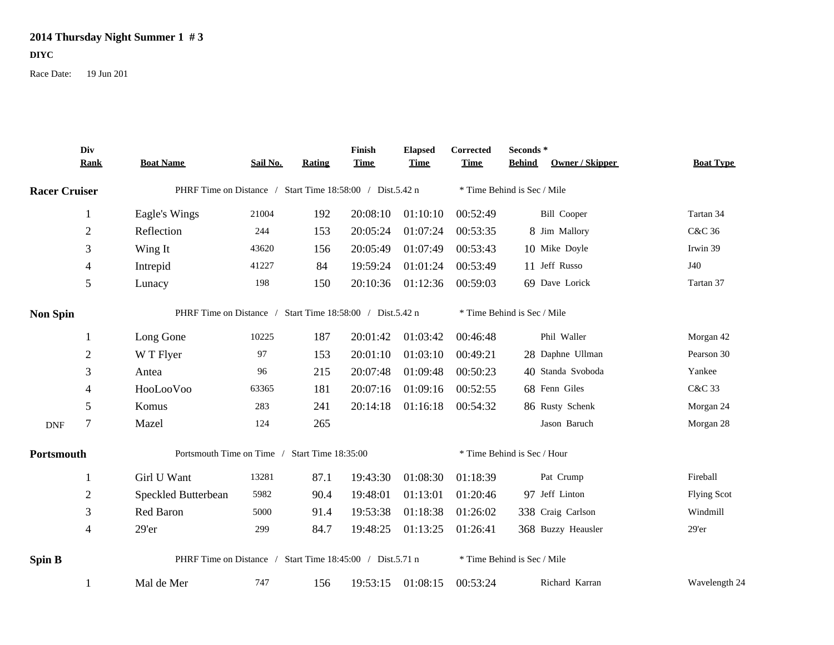## **2014 Thursday Night Summer 1 # 3**

## **DIYC**

Race Date: 19 Jun 201

|                      | Div<br><b>Rank</b> | <b>Boat Name</b>                                             | Sail No. | <b>Rating</b> | Finish<br><b>Time</b> | <b>Elapsed</b><br><b>Time</b> | Corrected<br><b>Time</b>    | Seconds*<br>Owner / Skipper<br><b>Behind</b> | <b>Boat Type</b>   |  |
|----------------------|--------------------|--------------------------------------------------------------|----------|---------------|-----------------------|-------------------------------|-----------------------------|----------------------------------------------|--------------------|--|
| <b>Racer Cruiser</b> |                    | PHRF Time on Distance / Start Time 18:58:00 / Dist.5.42 n    |          |               |                       |                               |                             | * Time Behind is Sec / Mile                  |                    |  |
|                      | 1                  | Eagle's Wings                                                | 21004    | 192           | 20:08:10              | 01:10:10                      | 00:52:49                    | <b>Bill Cooper</b>                           | Tartan 34          |  |
|                      | $\sqrt{2}$         | Reflection                                                   | 244      | 153           | 20:05:24              | 01:07:24                      | 00:53:35                    | 8 Jim Mallory                                | C&C 36             |  |
|                      | 3                  | Wing It                                                      | 43620    | 156           | 20:05:49              | 01:07:49                      | 00:53:43                    | 10 Mike Doyle                                | Irwin 39           |  |
|                      | 4                  | Intrepid                                                     | 41227    | 84            | 19:59:24              | 01:01:24                      | 00:53:49                    | 11 Jeff Russo                                | J40                |  |
|                      | 5                  | Lunacy                                                       | 198      | 150           | 20:10:36              | 01:12:36                      | 00:59:03                    | 69 Dave Lorick                               | Tartan 37          |  |
| <b>Non Spin</b>      |                    | PHRF Time on Distance / Start Time 18:58:00 / Dist.5.42 n    |          |               |                       |                               | * Time Behind is Sec / Mile |                                              |                    |  |
|                      | 1                  | Long Gone                                                    | 10225    | 187           | 20:01:42              | 01:03:42                      | 00:46:48                    | Phil Waller                                  | Morgan 42          |  |
|                      | $\sqrt{2}$         | W T Flyer                                                    | 97       | 153           | 20:01:10              | 01:03:10                      | 00:49:21                    | 28 Daphne Ullman                             | Pearson 30         |  |
|                      | 3                  | Antea                                                        | 96       | 215           | 20:07:48              | 01:09:48                      | 00:50:23                    | 40 Standa Svoboda                            | Yankee             |  |
|                      | 4                  | HooLooVoo                                                    | 63365    | 181           | 20:07:16              | 01:09:16                      | 00:52:55                    | 68 Fenn Giles                                | C&C 33             |  |
|                      | 5                  | Komus                                                        | 283      | 241           | 20:14:18              | 01:16:18                      | 00:54:32                    | 86 Rusty Schenk                              | Morgan 24          |  |
| <b>DNF</b>           | $\tau$             | Mazel                                                        | 124      | 265           |                       |                               |                             | Jason Baruch                                 | Morgan 28          |  |
| Portsmouth           |                    | Portsmouth Time on Time / Start Time 18:35:00                |          |               |                       |                               | * Time Behind is Sec / Hour |                                              |                    |  |
|                      | 1                  | Girl U Want                                                  | 13281    | 87.1          | 19:43:30              | 01:08:30                      | 01:18:39                    | Pat Crump                                    | Fireball           |  |
|                      | $\sqrt{2}$         | Speckled Butterbean                                          | 5982     | 90.4          | 19:48:01              | 01:13:01                      | 01:20:46                    | 97 Jeff Linton                               | <b>Flying Scot</b> |  |
|                      | 3                  | Red Baron                                                    | 5000     | 91.4          | 19:53:38              | 01:18:38                      | 01:26:02                    | 338 Craig Carlson                            | Windmill           |  |
|                      | 4                  | 29'er                                                        | 299      | 84.7          | 19:48:25              | 01:13:25                      | 01:26:41                    | 368 Buzzy Heausler                           | 29'er              |  |
| <b>Spin B</b>        |                    | PHRF Time on Distance /<br>Start Time 18:45:00 / Dist.5.71 n |          |               |                       |                               |                             | * Time Behind is Sec / Mile                  |                    |  |
|                      |                    | Mal de Mer                                                   | 747      | 156           | 19:53:15              | 01:08:15                      | 00:53:24                    | Richard Karran                               | Wavelength 24      |  |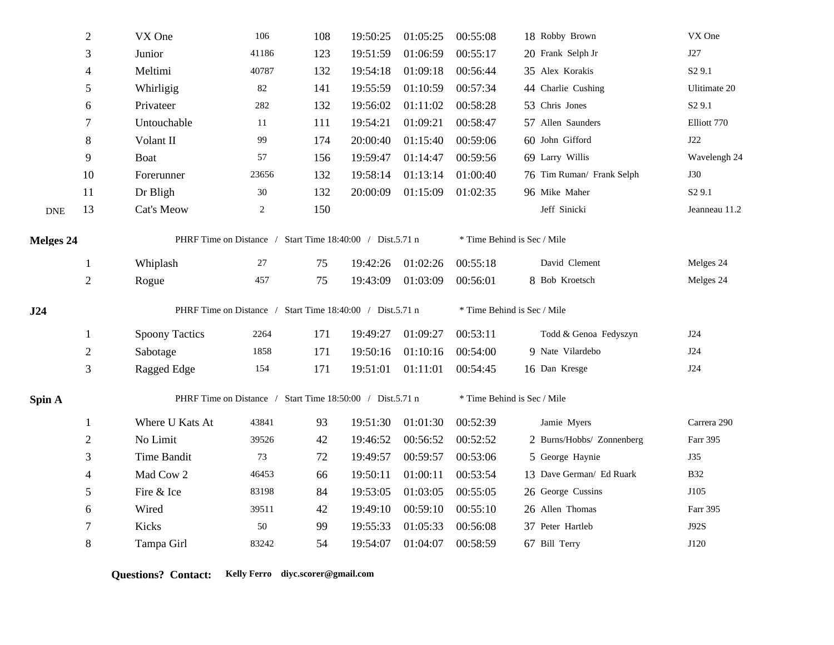|                  | $\sqrt{2}$     | VX One                                                    | 106            | 108 | 19:50:25 | 01:05:25 | 00:55:08                    | 18 Robby Brown              | VX One             |  |  |
|------------------|----------------|-----------------------------------------------------------|----------------|-----|----------|----------|-----------------------------|-----------------------------|--------------------|--|--|
|                  | 3              | Junior                                                    | 41186          | 123 | 19:51:59 | 01:06:59 | 00:55:17                    | 20 Frank Selph Jr           | J27                |  |  |
|                  | $\overline{4}$ | Meltimi                                                   | 40787          | 132 | 19:54:18 | 01:09:18 | 00:56:44                    | 35 Alex Korakis             | S <sub>2</sub> 9.1 |  |  |
|                  | 5              | Whirligig                                                 | 82             | 141 | 19:55:59 | 01:10:59 | 00:57:34                    | 44 Charlie Cushing          | Ulitimate 20       |  |  |
|                  | 6              | Privateer                                                 | 282            | 132 | 19:56:02 | 01:11:02 | 00:58:28                    | 53 Chris Jones              | S <sub>2</sub> 9.1 |  |  |
|                  | 7              | Untouchable                                               | 11             | 111 | 19:54:21 | 01:09:21 | 00:58:47                    | 57 Allen Saunders           | Elliott 770        |  |  |
|                  | $\,8\,$        | Volant II                                                 | 99             | 174 | 20:00:40 | 01:15:40 | 00:59:06                    | 60 John Gifford             | J22                |  |  |
|                  | 9              | <b>Boat</b>                                               | 57             | 156 | 19:59:47 | 01:14:47 | 00:59:56                    | 69 Larry Willis             | Wavelengh 24       |  |  |
|                  | 10             | Forerunner                                                | 23656          | 132 | 19:58:14 | 01:13:14 | 01:00:40                    | 76 Tim Ruman/ Frank Selph   | <b>J30</b>         |  |  |
|                  | 11             | Dr Bligh                                                  | 30             | 132 | 20:00:09 | 01:15:09 | 01:02:35                    | 96 Mike Maher               | S <sub>2</sub> 9.1 |  |  |
| <b>DNE</b>       | 13             | Cat's Meow                                                | $\overline{c}$ | 150 |          |          |                             | Jeff Sinicki                | Jeanneau 11.2      |  |  |
| <b>Melges 24</b> |                | PHRF Time on Distance / Start Time 18:40:00 / Dist.5.71 n |                |     |          |          | * Time Behind is Sec / Mile |                             |                    |  |  |
|                  | $\mathbf{1}$   | Whiplash                                                  | 27             | 75  | 19:42:26 | 01:02:26 | 00:55:18                    | David Clement               | Melges 24          |  |  |
|                  | $\sqrt{2}$     | Rogue                                                     | 457            | 75  | 19:43:09 | 01:03:09 | 00:56:01                    | 8 Bob Kroetsch              | Melges 24          |  |  |
| J24              |                | PHRF Time on Distance / Start Time 18:40:00 / Dist.5.71 n |                |     |          |          |                             | * Time Behind is Sec / Mile |                    |  |  |
|                  | 1              | <b>Spoony Tactics</b>                                     | 2264           | 171 | 19:49:27 | 01:09:27 | 00:53:11                    | Todd & Genoa Fedyszyn       | J24                |  |  |
|                  | $\sqrt{2}$     | Sabotage                                                  | 1858           | 171 | 19:50:16 | 01:10:16 | 00:54:00                    | 9 Nate Vilardebo            | J24                |  |  |
|                  | 3              | Ragged Edge                                               | 154            | 171 | 19:51:01 | 01:11:01 | 00:54:45                    | 16 Dan Kresge               | J24                |  |  |
| Spin A           |                | PHRF Time on Distance / Start Time 18:50:00 / Dist.5.71 n |                |     |          |          |                             | * Time Behind is Sec / Mile |                    |  |  |
|                  | $\mathbf{1}$   | Where U Kats At                                           | 43841          | 93  | 19:51:30 | 01:01:30 | 00:52:39                    | Jamie Myers                 | Carrera 290        |  |  |
|                  | $\sqrt{2}$     | No Limit                                                  | 39526          | 42  | 19:46:52 | 00:56:52 | 00:52:52                    | 2 Burns/Hobbs/ Zonnenberg   | Farr 395           |  |  |
|                  | 3              | <b>Time Bandit</b>                                        | 73             | 72  | 19:49:57 | 00:59:57 | 00:53:06                    | 5 George Haynie             | <b>J35</b>         |  |  |
|                  | $\overline{4}$ | Mad Cow 2                                                 | 46453          | 66  | 19:50:11 | 01:00:11 | 00:53:54                    | 13 Dave German/ Ed Ruark    | <b>B32</b>         |  |  |
|                  | $\sqrt{5}$     | Fire & Ice                                                | 83198          | 84  | 19:53:05 | 01:03:05 | 00:55:05                    | 26 George Cussins           | J105               |  |  |
|                  | 6              | Wired                                                     | 39511          | 42  | 19:49:10 | 00:59:10 | 00:55:10                    | 26 Allen Thomas             | Farr 395           |  |  |
|                  | 7              | Kicks                                                     | 50             | 99  | 19:55:33 | 01:05:33 | 00:56:08                    | 37 Peter Hartleb            | <b>J92S</b>        |  |  |
|                  | 8              | Tampa Girl                                                | 83242          | 54  | 19:54:07 | 01:04:07 | 00:58:59                    | 67 Bill Terry               | J120               |  |  |

**Questions? Contact: Kelly Ferro diyc.scorer@gmail.com**